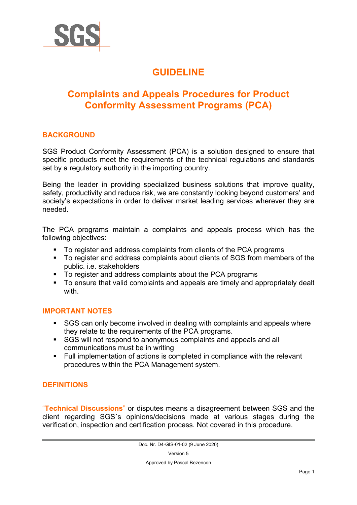

# **GUIDELINE**

## **Complaints and Appeals Procedures for Product Conformity Assessment Programs (PCA)**

### **BACKGROUND**

SGS Product Conformity Assessment (PCA) is a solution designed to ensure that specific products meet the requirements of the technical regulations and standards set by a regulatory authority in the importing country.

Being the leader in providing specialized business solutions that improve quality, safety, productivity and reduce risk, we are constantly looking beyond customers' and society's expectations in order to deliver market leading services wherever they are needed.

The PCA programs maintain a complaints and appeals process which has the following objectives:

- To register and address complaints from clients of the PCA programs
- To register and address complaints about clients of SGS from members of the public. i.e. stakeholders
- public. i.e. stake ideas complaints about the PCA programs
- To ensure that valid complaints and appeals are timely and appropriately dealt with.

#### **IMPORTANT NOTES**

- SGS can only become involved in dealing with complaints and appeals where they relate to the requirements of the PCA programs.
- SGS will not respond to anonymous complaints and appeals and all communications must be in writing
- Full implementation of actions is completed in compliance with the relevant procedures within the PCA Management system.

## **DEFINITIONS**

"**Technical Discussions**" or disputes means a disagreement between SGS and the client regarding SGS´s opinions/decisions made at various stages during the verification, inspection and certification process. Not covered in this procedure.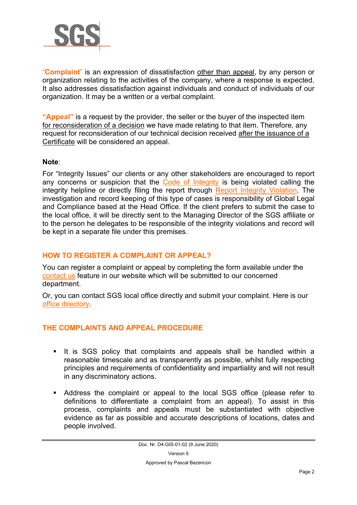

"**Complaint**" is an expression of dissatisfaction other than appeal, by any person or organization relating to the activities of the company, where a response is expected. It also addresses dissatisfaction against individuals and conduct of individuals of our organization. It may be a written or a verbal complaint.

**"Appeal"** is a request by the provider, the seller or the buyer of the inspected item for reconsideration of a decision we have made relating to that item. Therefore, any request for reconsideration of our technical decision received after the issuance of a Certificate will be considered an appeal.

#### **Note**:

For "Integrity Issues" our clients or any other stakeholders are encouraged to report any concerns or suspicion that the [Code of Integrity](http://www.sgs.com/en/Our-Company/Compliance-and-Integrity/Integrity-at-SGS.aspx) is being violated calling the integrity helpline or directly filing the report through [Report Integrity Violation.](http://www.sgs.com/en/Our-Company/Compliance-and-Integrity/Report-Integrity-Violation.aspx) The investigation and record keeping of this type of cases is responsibility of Global Legal and Compliance based at the Head Office. If the client prefers to submit the case to the local office, it will be directly sent to the Managing Director of the SGS affiliate or to the person he delegates to be responsible of the integrity violations and record will be kept in a separate file under this premises.

## **HOW TO REGISTER A COMPLAINT OR APPEAL?**

You can register a complaint or appeal by completing the form available under the [contact us](http://contact.sgs.com/global/en/?c=global&lob=Other&lng=en&f=www.sgs.com/en/our-company/about-sgs/sgs-in-brief.aspx) feature in our website which will be submitted to our concerned department.

Or, you can contact SGS local office directly and submit your complaint. Here is our [office directory.](http://www.sgs.com/en/Office-Directory.aspx)

#### **THE COMPLAINTS AND APPEAL PROCEDURE**

- It is SGS policy that complaints and appeals shall be handled within a reasonable timescale and as transparently as possible, whilst fully respecting principles and requirements of confidentiality and impartiality and will not result in any discriminatory actions.
- Address the complaint or appeal to the local SGS office (please refer to definitions to differentiate a complaint from an appeal). To assist in this process, complaints and appeals must be substantiated with objective evidence as far as possible and accurate descriptions of locations, dates and people involved.